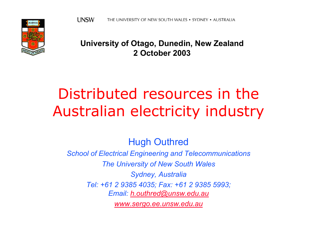

#### **University of Otago, Dunedin, New Zealand 2 October 2003**

# Distributed resources in the Australian electricity industry

Hugh Outhred

*School of Electrical Engineering and Telecommunications The University of New South Wales Sydney, Australia Tel: +61 2 9385 4035; Fax: +61 2 9385 5993; Email: [h.outhred@unsw.edu.au](mailto:h.outhred@unsw.edu.au) [www.sergo.ee.unsw.edu.au](http://www.sergo.ee.unsw.edu.au/)*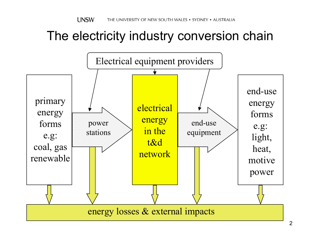### The electricity industry conversion chain

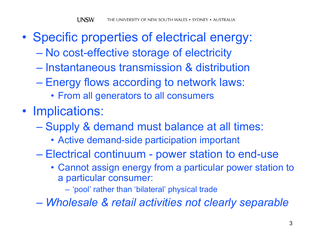- $\bullet$  Specific properties of electrical energy:
	- $\mathcal{L}_{\mathcal{A}}$  , and the set of the set of the set of the set of the set of the set of the set of the set of the set of the set of the set of the set of the set of the set of the set of the set of the set of the set of th No cost-effective storage of electricity
	- Instantaneous transmission & distribution
	- Energy flows according to network laws:
		- From all generators to all consumers
- Implications:
	- Supply & demand must balance at all times:
		- Active demand-side participation important
	- Paris Paris II.<br>Politika Electrical continuum - power station to end-use
		- Cannot assign energy from a particular power station to a particular consumer:

– 'pool' rather than 'bilateral' physical trade

*Wholesale & retail activities not clearly separable*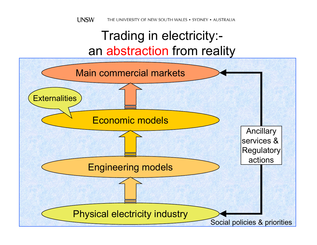### Trading in electricity: an abstraction from reality

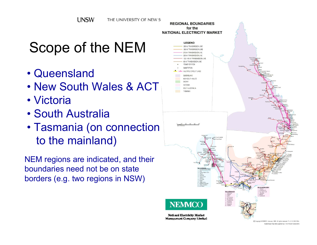# Scope of the NEM

- •Queensland
- New South Wales & ACT
- Victoria
- •South Australia
- Tasmania (on connection to the mainland)

NEM regions are indic ated, and their boundaries need not be on state borders (e.g. two regions in NSW)

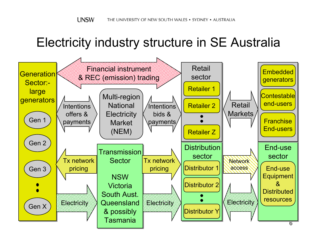### Electricity industry structure in SE Australia

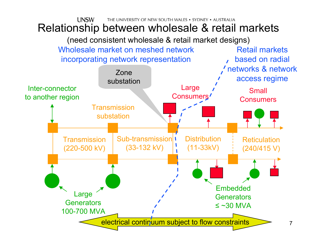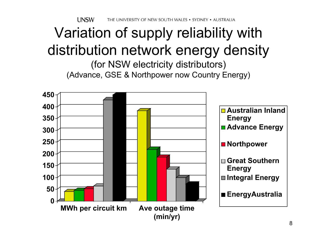**UNSW** THE UNIVERSITY OF NEW SOUTH WALES • SYDNEY • AUSTRALIA

# Variation of supply reliability with distribution network energy density

(for NSW electricity distributors) (Advance, GSE & Northpower now Country Energy)

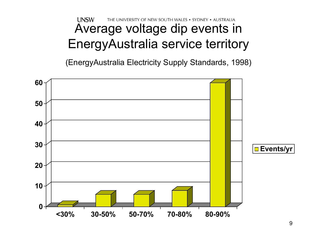#### **UNSW** THE UNIVERSITY OF NEW SOUTH WALES . SYDNEY . AUSTRALIA Average voltage dip events in EnergyAustralia service territory

(EnergyAustralia Electricity Supply Standards, 1998)

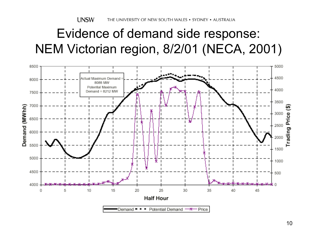### Evidence of demand side response: NEM Victorian region, 8/2/01 (NECA, 2001)

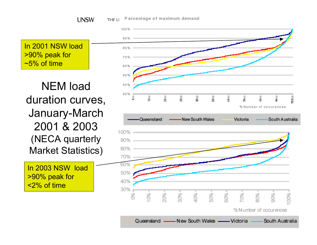**UNSW** 

Percentage of maximum demand THE U

In 2001 NSW load >90% peak for  $\sim$  5% of time

NEM load duration curves, January-March 2001 & 2003(NECA quarterly Market Statistics)

In 2003 NSW load >90% peak for <2% of time

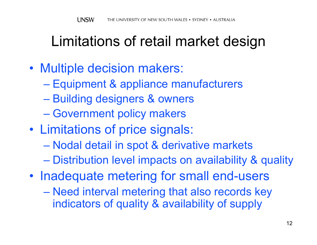# Limitations of retail market design

- $\bullet$  Multiple decision makers:
	- Equipment & appliance manufacturers
	- Building designers & owners
	- Government policy makers
- • Limitations of price signals:
	- Nodal detail in spot & derivative markets
	- Distribution level impacts on availability & quality
- •• Inadequate metering for small end-users – Need interval metering that also records key indicators of quality & availability of supply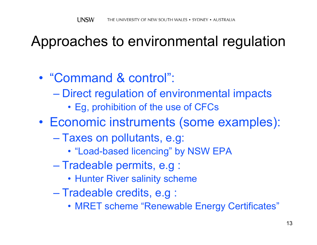# Approaches to environmental regulation

- •"Command & control":
	- Direct regulation of environmental impacts
		- Eg, prohibition of the use of CFCs

•Economic instruments (some examples):

- Taxes on pollutants, e.g:
	- "Load-based licencing" by NSW EPA
- Tradeable permits, e.g :
	- Hunter River salinity scheme
- Tradeable credits, e.g :
	- MRET scheme "Renewable Energy Certificates"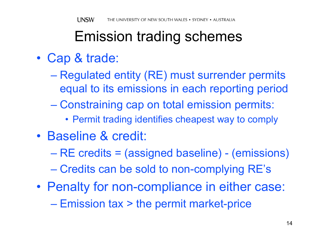# Emission trading schemes

- • Cap & trade:
	- Regulated entity (RE) must surrender permits equal to its emissions in each reporting period
	- Constraining cap on total emission permits:
		- Permit trading identifies cheapest way to comply
- •Baseline & credit:
	- RE credits = (assigned baseline) (emissions)
	- Credits can be sold to non-complying RE's
- • Penalty for non-compliance in either case: – Emission tax > the permit market-price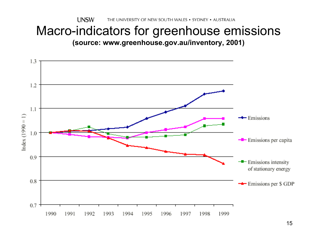#### **UNSW** THE UNIVERSITY OF NEW SOUTH WALES . SYDNEY . AUSTRALIA

# Macro-indicators for greenhouse emissions

**(source: www.greenhouse.gov.au/inventory, 2001)**

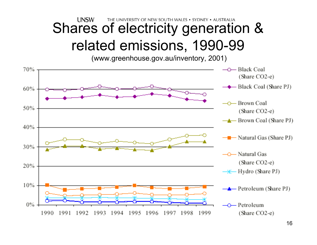#### **UNSW** THE UNIVERSITY OF NEW SOUTH WALES . SYDNEY . AUSTRALIA Shares of electricity generation & related emissions, 1990-99

(www.greenhouse.gov.au/inventory, 2001)

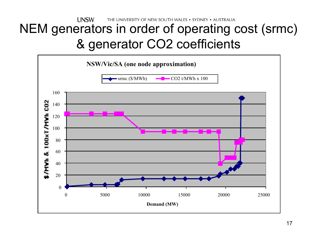#### **UNSW** THE UNIVERSITY OF NEW SOUTH WALES . SYDNEY . AUSTRALIA NEM generators in order of operating cost (srmc) & generator CO2 coefficients

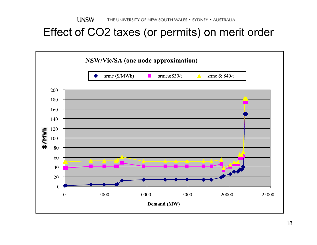#### Effect of CO2 taxes (or permits) on merit order

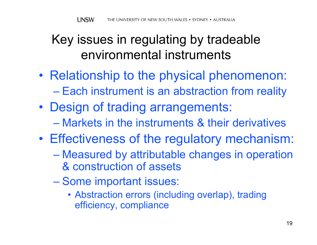### Key issues in regulating by tradeable environmental instruments

- •• Relationship to the physical phenomenon: – Each instrument is an abstraction from reality
- • Design of trading arrangements: –Markets in the instruments & their derivatives
- • Effectiveness of the regulatory mechanism:
	- Measured by attributable changes in operation & construction of assets
	- Some important issues:
		- Abstraction errors (including overlap), trading efficiency, compliance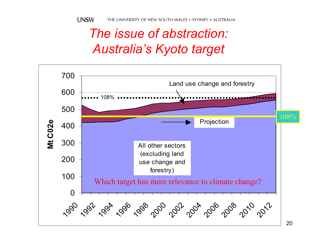## *The issue of abstraction: Australia's Kyoto target*

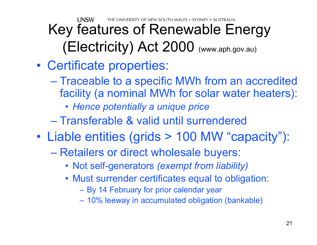THE UNIVERSITY OF NEW SOUTH WALES . SYDNEY . AUSTRALIA

### **UNSW** Key features of Renewable Energy (Electricity) Act 2000 (www.aph.gov.au)

#### •Certificate properties:

– Traceable to a specific MWh from an accredited facility (a nominal MWh for solar water heaters):

• *Hence potentially a unique price*

–Transferable & valid until surrendered

- • Liable entities (grids > 100 MW "capacity"):
	- Retailers or direct wholesale buyers:
		- Not self-generators *(exempt from liability)*
		- Must surrender certificates equal to obligation:
			- By 14 February for prior calendar year
			- 10% leeway in accumulated obligation (bankable)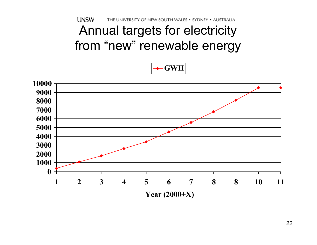**UNSW** THE UNIVERSITY OF NEW SOUTH WALES . SYDNEY . AUSTRALIA Annual targets for electricity from "new" renewable energy



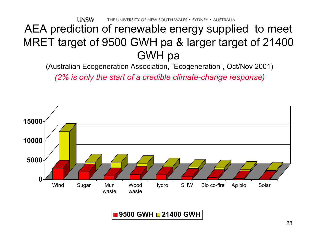THE UNIVERSITY OF NEW SOUTH WALES . SYDNEY . AUSTRALIA

#### **UNSW** AEA prediction of renewable energy supplied to meet MRET target of 9500 GWH pa & larger target of 21400 GWH pa

(Australian Ecogeneration Association, "Ecogeneration", Oct/Nov 2001)

*(2% is only the start of a c redible climate-change response)*



#### **9500 GWH 21400 GWH**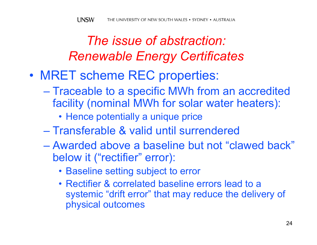### *The issue of abstraction: Renewable Energy Certificates*

- • MRET scheme REC properties:
	- Traceable to a specific MWh from an accredited facility (nominal MWh for solar water heaters):
		- Hence potentially a unique price
	- –Transferable & valid until surrendered
	- Awarded above a baseline but not "clawed back" below it ("rectifier" error):
		- Baseline setting subject to error
		- •Rectifier & correlated baseline errors lead to a systemic "drift error" that may reduce the delivery of physical outcomes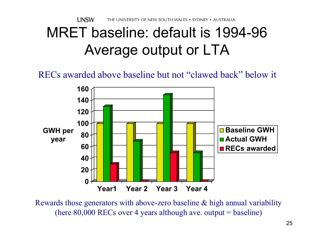# MRET baseline: default is 1994-96 Average output or LTA

RECs awarded above baseline but not "clawed back" below it



Rewards those generators with above-zero baseline & high annual variability (here  $80,000$  RECs over 4 years although ave. output = baseline)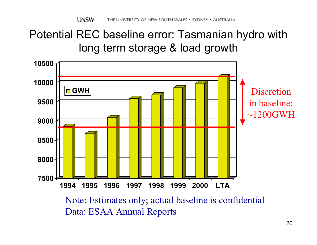#### Potential REC baseline error: Tasmanian hydro with long term storage & load growth



Note: Estimates only; actual baseline is confidential Data: ESAA Annual Reports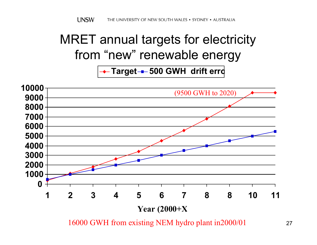## MRET annual targets for electricity from "new" renewable energy

**Target 500 GWH drift err o**



16000 GWH from existing NEM hydro plant in2000/01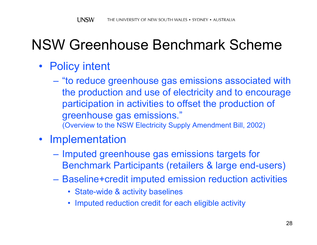# NSW Greenhouse Benchmark Scheme

- Policy intent
	- "to reduce greenhouse gas emissions associated with the production and use of electricity and to encourage participation in activities to offset the production of greenhouse gas emissions." (Overview to the NSW Electricity Supply Amendment Bill, 2002)
- Implementation
	- Imputed greenhouse gas emissions targets for Benchmark Participants (retailers & large end-users)
	- Baseline+credit imputed emission reduction activities
		- State-wide & activity baselines
		- •Imputed reduction credit for each eligible activity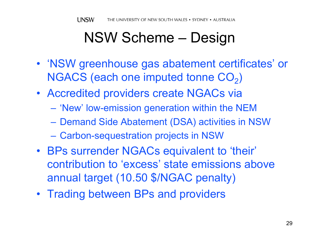# NSW Scheme – Design

- 'NSW greenhouse gas abatement certificates' or NGACS (each one imputed tonne  $\mathrm{CO}_2)$
- Accredited providers create NGACs via
	- $\mathcal{L}_{\mathcal{A}}$  , and the set of the set of the set of the set of the set of the set of the set of the set of the set of the set of the set of the set of the set of the set of the set of the set of the set of the set of th 'New' low-emission generation within the NEM
	- Demand Side Abatement (DSA) activities in NSW
	- Carbon-sequestration projects in NSW
- BPs surrender NGACs equivalent to 'their' contribution to 'excess' state emissions above annual target (10.50 \$/NGAC penalty)
- Trading between BPs and providers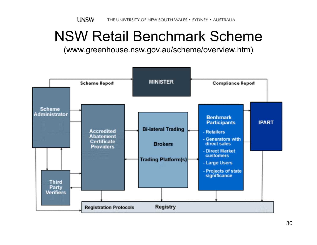# NSW Retail Benchmark Scheme

(www.greenhouse.nsw.gov.au/scheme/overview.htm)

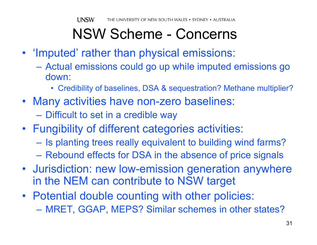# NSW Scheme - Concerns

- 'Imputed' rather than physical emissions:
	- Actual emissions could go up while imputed emissions go down:
		- Credibility of baselines, DSA & sequestration? Methane multiplier?
- Many activities have non-zero baselines:
	- Difficult to set in a credible way
- Fungibility of different categories activities:
	- Is planting trees really equivalent to building wind farms?
	- Rebound effects for DSA in the absence of price signals
- Jurisdiction: new low-emission generation anywhere in the NEM can contribute to NSW target
- Potential double counting with other policies:
	- MRET, GGAP, MEPS? Similar schemes in other states?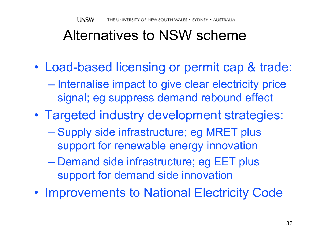# Alternatives to NSW scheme

- • Load-based licensing or permit cap & trade:
	- $\mathcal{L}_{\mathcal{A}}$ – Internalise impact to give clear electricity price signal; eg suppress demand rebound effect
- • Targeted industry development strategies:
	- Supply side infrastructure; eg MRET plus support for renewable energy innovation
	- Demand side infrastructure; eg EET plus support for demand side innovation
- •• Improvements to National Electricity Code